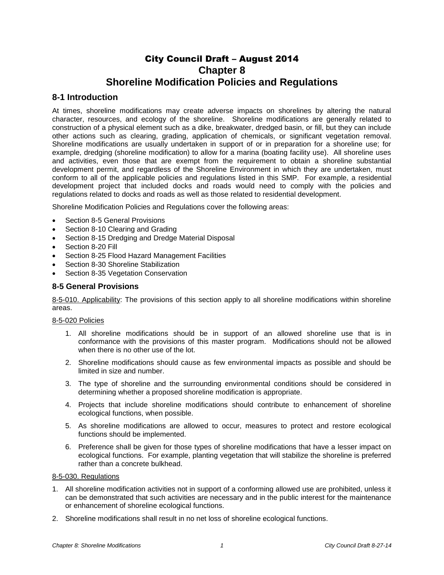# City Council Draft – August 2014 **Chapter 8 Shoreline Modification Policies and Regulations**

# **8-1 Introduction**

At times, shoreline modifications may create adverse impacts on shorelines by altering the natural character, resources, and ecology of the shoreline. Shoreline modifications are generally related to construction of a physical element such as a dike, breakwater, dredged basin, or fill, but they can include other actions such as clearing, grading, application of chemicals, or significant vegetation removal. Shoreline modifications are usually undertaken in support of or in preparation for a shoreline use; for example, dredging (shoreline modification) to allow for a marina (boating facility use). All shoreline uses and activities, even those that are exempt from the requirement to obtain a shoreline substantial development permit, and regardless of the Shoreline Environment in which they are undertaken, must conform to all of the applicable policies and regulations listed in this SMP. For example, a residential development project that included docks and roads would need to comply with the policies and regulations related to docks and roads as well as those related to residential development.

Shoreline Modification Policies and Regulations cover the following areas:

- Section 8-5 General Provisions
- Section 8-10 Clearing and Grading
- Section 8-15 Dredging and Dredge Material Disposal
- Section 8-20 Fill
- Section 8-25 Flood Hazard Management Facilities
- Section 8-30 Shoreline Stabilization
- Section 8-35 Vegetation Conservation

## **8-5 General Provisions**

8-5-010. Applicability: The provisions of this section apply to all shoreline modifications within shoreline areas.

## 8-5-020 Policies

- 1. All shoreline modifications should be in support of an allowed shoreline use that is in conformance with the provisions of this master program. Modifications should not be allowed when there is no other use of the lot.
- 2. Shoreline modifications should cause as few environmental impacts as possible and should be limited in size and number.
- 3. The type of shoreline and the surrounding environmental conditions should be considered in determining whether a proposed shoreline modification is appropriate.
- 4. Projects that include shoreline modifications should contribute to enhancement of shoreline ecological functions, when possible.
- 5. As shoreline modifications are allowed to occur, measures to protect and restore ecological functions should be implemented.
- 6. Preference shall be given for those types of shoreline modifications that have a lesser impact on ecological functions. For example, planting vegetation that will stabilize the shoreline is preferred rather than a concrete bulkhead.

# 8-5-030. Regulations

- 1. All shoreline modification activities not in support of a conforming allowed use are prohibited, unless it can be demonstrated that such activities are necessary and in the public interest for the maintenance or enhancement of shoreline ecological functions.
- 2. Shoreline modifications shall result in no net loss of shoreline ecological functions.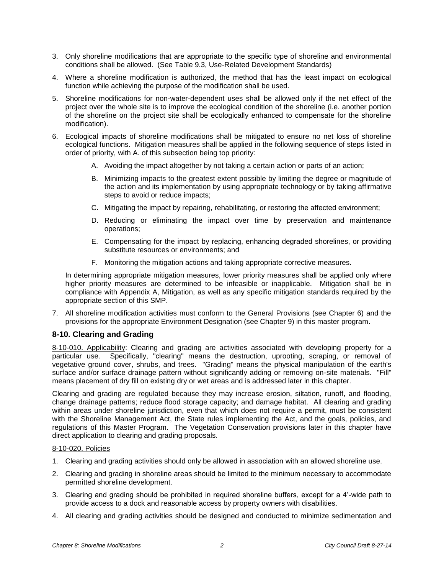- 3. Only shoreline modifications that are appropriate to the specific type of shoreline and environmental conditions shall be allowed. (See Table 9.3, Use-Related Development Standards)
- 4. Where a shoreline modification is authorized, the method that has the least impact on ecological function while achieving the purpose of the modification shall be used.
- 5. Shoreline modifications for non-water-dependent uses shall be allowed only if the net effect of the project over the whole site is to improve the ecological condition of the shoreline (i.e. another portion of the shoreline on the project site shall be ecologically enhanced to compensate for the shoreline modification).
- 6. Ecological impacts of shoreline modifications shall be mitigated to ensure no net loss of shoreline ecological functions. Mitigation measures shall be applied in the following sequence of steps listed in order of priority, with A. of this subsection being top priority:
	- A. Avoiding the impact altogether by not taking a certain action or parts of an action;
	- B. Minimizing impacts to the greatest extent possible by limiting the degree or magnitude of the action and its implementation by using appropriate technology or by taking affirmative steps to avoid or reduce impacts;
	- C. Mitigating the impact by repairing, rehabilitating, or restoring the affected environment;
	- D. Reducing or eliminating the impact over time by preservation and maintenance operations;
	- E. Compensating for the impact by replacing, enhancing degraded shorelines, or providing substitute resources or environments; and
	- F. Monitoring the mitigation actions and taking appropriate corrective measures.

In determining appropriate mitigation measures, lower priority measures shall be applied only where higher priority measures are determined to be infeasible or inapplicable. Mitigation shall be in compliance with Appendix A, Mitigation, as well as any specific mitigation standards required by the appropriate section of this SMP.

7. All shoreline modification activities must conform to the General Provisions (see Chapter 6) and the provisions for the appropriate Environment Designation (see Chapter 9) in this master program.

# **8-10. Clearing and Grading**

8-10-010. Applicability: Clearing and grading are activities associated with developing property for a particular use. Specifically, "clearing" means the destruction, uprooting, scraping, or removal of vegetative ground cover, shrubs, and trees. "Grading" means the physical manipulation of the earth's surface and/or surface drainage pattern without significantly adding or removing on-site materials. "Fill" means placement of dry fill on existing dry or wet areas and is addressed later in this chapter.

Clearing and grading are regulated because they may increase erosion, siltation, runoff, and flooding, change drainage patterns; reduce flood storage capacity; and damage habitat. All clearing and grading within areas under shoreline jurisdiction, even that which does not require a permit, must be consistent with the Shoreline Management Act, the State rules implementing the Act, and the goals, policies, and regulations of this Master Program. The Vegetation Conservation provisions later in this chapter have direct application to clearing and grading proposals.

## 8-10-020. Policies

- 1. Clearing and grading activities should only be allowed in association with an allowed shoreline use.
- 2. Clearing and grading in shoreline areas should be limited to the minimum necessary to accommodate permitted shoreline development.
- 3. Clearing and grading should be prohibited in required shoreline buffers, except for a 4'-wide path to provide access to a dock and reasonable access by property owners with disabilities.
- 4. All clearing and grading activities should be designed and conducted to minimize sedimentation and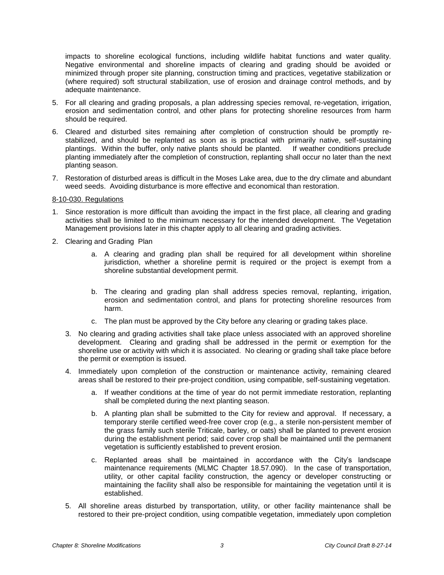impacts to shoreline ecological functions, including wildlife habitat functions and water quality. Negative environmental and shoreline impacts of clearing and grading should be avoided or minimized through proper site planning, construction timing and practices, vegetative stabilization or (where required) soft structural stabilization, use of erosion and drainage control methods, and by adequate maintenance.

- 5. For all clearing and grading proposals, a plan addressing species removal, re-vegetation, irrigation, erosion and sedimentation control, and other plans for protecting shoreline resources from harm should be required.
- 6. Cleared and disturbed sites remaining after completion of construction should be promptly restabilized, and should be replanted as soon as is practical with primarily native, self-sustaining plantings. Within the buffer, only native plants should be planted. If weather conditions preclude planting immediately after the completion of construction, replanting shall occur no later than the next planting season.
- 7. Restoration of disturbed areas is difficult in the Moses Lake area, due to the dry climate and abundant weed seeds. Avoiding disturbance is more effective and economical than restoration.

#### 8-10-030. Regulations

- 1. Since restoration is more difficult than avoiding the impact in the first place, all clearing and grading activities shall be limited to the minimum necessary for the intended development. The Vegetation Management provisions later in this chapter apply to all clearing and grading activities.
- 2. Clearing and Grading Plan
	- a. A clearing and grading plan shall be required for all development within shoreline jurisdiction, whether a shoreline permit is required or the project is exempt from a shoreline substantial development permit.
	- b. The clearing and grading plan shall address species removal, replanting, irrigation, erosion and sedimentation control, and plans for protecting shoreline resources from harm.
	- c. The plan must be approved by the City before any clearing or grading takes place.
	- 3. No clearing and grading activities shall take place unless associated with an approved shoreline development. Clearing and grading shall be addressed in the permit or exemption for the shoreline use or activity with which it is associated. No clearing or grading shall take place before the permit or exemption is issued.
	- 4. Immediately upon completion of the construction or maintenance activity, remaining cleared areas shall be restored to their pre-project condition, using compatible, self-sustaining vegetation.
		- a. If weather conditions at the time of year do not permit immediate restoration, replanting shall be completed during the next planting season.
		- b. A planting plan shall be submitted to the City for review and approval. If necessary, a temporary sterile certified weed-free cover crop (e.g., a sterile non-persistent member of the grass family such sterile Triticale, barley, or oats) shall be planted to prevent erosion during the establishment period; said cover crop shall be maintained until the permanent vegetation is sufficiently established to prevent erosion.
		- c. Replanted areas shall be maintained in accordance with the City's landscape maintenance requirements (MLMC Chapter 18.57.090). In the case of transportation, utility, or other capital facility construction, the agency or developer constructing or maintaining the facility shall also be responsible for maintaining the vegetation until it is established.
	- 5. All shoreline areas disturbed by transportation, utility, or other facility maintenance shall be restored to their pre-project condition, using compatible vegetation, immediately upon completion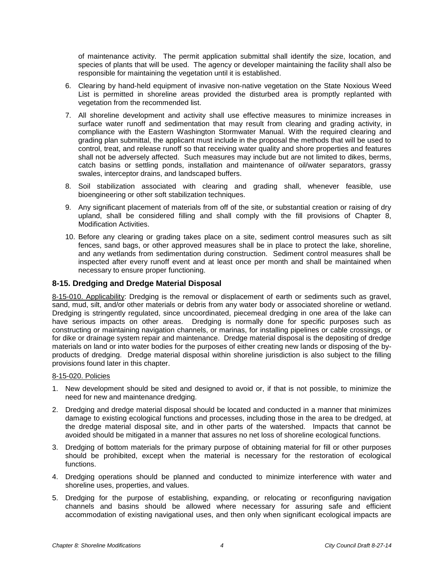of maintenance activity. The permit application submittal shall identify the size, location, and species of plants that will be used. The agency or developer maintaining the facility shall also be responsible for maintaining the vegetation until it is established.

- 6. Clearing by hand-held equipment of invasive non-native vegetation on the State Noxious Weed List is permitted in shoreline areas provided the disturbed area is promptly replanted with vegetation from the recommended list.
- 7. All shoreline development and activity shall use effective measures to minimize increases in surface water runoff and sedimentation that may result from clearing and grading activity, in compliance with the Eastern Washington Stormwater Manual. With the required clearing and grading plan submittal, the applicant must include in the proposal the methods that will be used to control, treat, and release runoff so that receiving water quality and shore properties and features shall not be adversely affected. Such measures may include but are not limited to dikes, berms, catch basins or settling ponds, installation and maintenance of oil/water separators, grassy swales, interceptor drains, and landscaped buffers.
- 8. Soil stabilization associated with clearing and grading shall, whenever feasible, use bioengineering or other soft stabilization techniques.
- 9. Any significant placement of materials from off of the site, or substantial creation or raising of dry upland, shall be considered filling and shall comply with the fill provisions of Chapter 8, Modification Activities.
- 10. Before any clearing or grading takes place on a site, sediment control measures such as silt fences, sand bags, or other approved measures shall be in place to protect the lake, shoreline, and any wetlands from sedimentation during construction. Sediment control measures shall be inspected after every runoff event and at least once per month and shall be maintained when necessary to ensure proper functioning.

# **8-15. Dredging and Dredge Material Disposal**

8-15-010. Applicability: Dredging is the removal or displacement of earth or sediments such as gravel, sand, mud, silt, and/or other materials or debris from any water body or associated shoreline or wetland. Dredging is stringently regulated, since uncoordinated, piecemeal dredging in one area of the lake can have serious impacts on other areas. Dredging is normally done for specific purposes such as constructing or maintaining navigation channels, or marinas, for installing pipelines or cable crossings, or for dike or drainage system repair and maintenance. Dredge material disposal is the depositing of dredge materials on land or into water bodies for the purposes of either creating new lands or disposing of the byproducts of dredging. Dredge material disposal within shoreline jurisdiction is also subject to the filling provisions found later in this chapter.

## 8-15-020. Policies

- 1. New development should be sited and designed to avoid or, if that is not possible, to minimize the need for new and maintenance dredging.
- 2. Dredging and dredge material disposal should be located and conducted in a manner that minimizes damage to existing ecological functions and processes, including those in the area to be dredged, at the dredge material disposal site, and in other parts of the watershed. Impacts that cannot be avoided should be mitigated in a manner that assures no net loss of shoreline ecological functions.
- 3. Dredging of bottom materials for the primary purpose of obtaining material for fill or other purposes should be prohibited, except when the material is necessary for the restoration of ecological functions.
- 4. Dredging operations should be planned and conducted to minimize interference with water and shoreline uses, properties, and values.
- 5. Dredging for the purpose of establishing, expanding, or relocating or reconfiguring navigation channels and basins should be allowed where necessary for assuring safe and efficient accommodation of existing navigational uses, and then only when significant ecological impacts are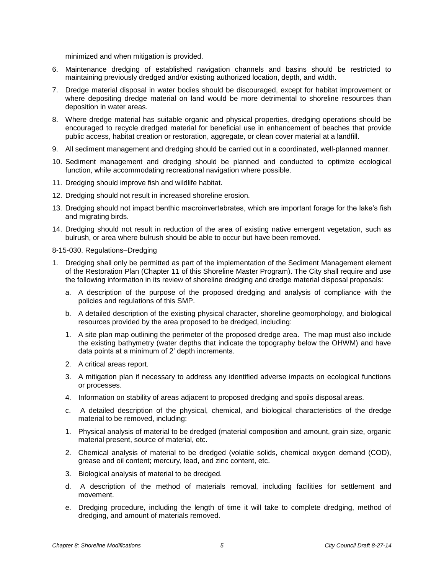minimized and when mitigation is provided.

- 6. Maintenance dredging of established navigation channels and basins should be restricted to maintaining previously dredged and/or existing authorized location, depth, and width.
- 7. Dredge material disposal in water bodies should be discouraged, except for habitat improvement or where depositing dredge material on land would be more detrimental to shoreline resources than deposition in water areas.
- 8. Where dredge material has suitable organic and physical properties, dredging operations should be encouraged to recycle dredged material for beneficial use in enhancement of beaches that provide public access, habitat creation or restoration, aggregate, or clean cover material at a landfill.
- 9. All sediment management and dredging should be carried out in a coordinated, well-planned manner.
- 10. Sediment management and dredging should be planned and conducted to optimize ecological function, while accommodating recreational navigation where possible.
- 11. Dredging should improve fish and wildlife habitat.
- 12. Dredging should not result in increased shoreline erosion.
- 13. Dredging should not impact benthic macroinvertebrates, which are important forage for the lake's fish and migrating birds.
- 14. Dredging should not result in reduction of the area of existing native emergent vegetation, such as bulrush, or area where bulrush should be able to occur but have been removed.

#### 8-15-030. Regulations–Dredging

- 1. Dredging shall only be permitted as part of the implementation of the Sediment Management element of the Restoration Plan (Chapter 11 of this Shoreline Master Program). The City shall require and use the following information in its review of shoreline dredging and dredge material disposal proposals:
	- a. A description of the purpose of the proposed dredging and analysis of compliance with the policies and regulations of this SMP.
	- b. A detailed description of the existing physical character, shoreline geomorphology, and biological resources provided by the area proposed to be dredged, including:
	- 1. A site plan map outlining the perimeter of the proposed dredge area. The map must also include the existing bathymetry (water depths that indicate the topography below the OHWM) and have data points at a minimum of 2' depth increments.
	- 2. A critical areas report.
	- 3. A mitigation plan if necessary to address any identified adverse impacts on ecological functions or processes.
	- 4. Information on stability of areas adjacent to proposed dredging and spoils disposal areas.
	- c. A detailed description of the physical, chemical, and biological characteristics of the dredge material to be removed, including:
	- 1. Physical analysis of material to be dredged (material composition and amount, grain size, organic material present, source of material, etc.
	- 2. Chemical analysis of material to be dredged (volatile solids, chemical oxygen demand (COD), grease and oil content; mercury, lead, and zinc content, etc.
	- 3. Biological analysis of material to be dredged.
	- d. A description of the method of materials removal, including facilities for settlement and movement.
	- e. Dredging procedure, including the length of time it will take to complete dredging, method of dredging, and amount of materials removed.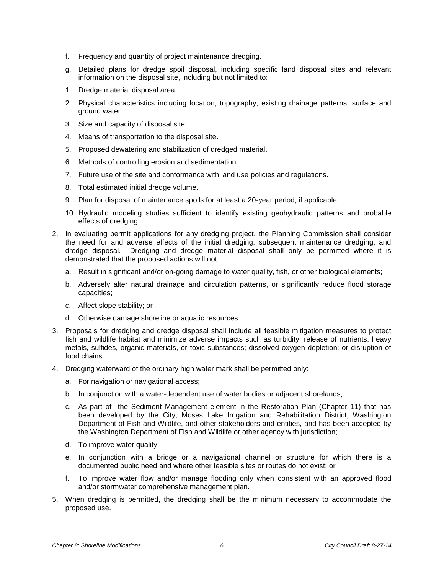- f. Frequency and quantity of project maintenance dredging.
- g. Detailed plans for dredge spoil disposal, including specific land disposal sites and relevant information on the disposal site, including but not limited to:
- 1. Dredge material disposal area.
- 2. Physical characteristics including location, topography, existing drainage patterns, surface and ground water.
- 3. Size and capacity of disposal site.
- 4. Means of transportation to the disposal site.
- 5. Proposed dewatering and stabilization of dredged material.
- 6. Methods of controlling erosion and sedimentation.
- 7. Future use of the site and conformance with land use policies and regulations.
- 8. Total estimated initial dredge volume.
- 9. Plan for disposal of maintenance spoils for at least a 20-year period, if applicable.
- 10. Hydraulic modeling studies sufficient to identify existing geohydraulic patterns and probable effects of dredging.
- 2. In evaluating permit applications for any dredging project, the Planning Commission shall consider the need for and adverse effects of the initial dredging, subsequent maintenance dredging, and dredge disposal. Dredging and dredge material disposal shall only be permitted where it is demonstrated that the proposed actions will not:
	- a. Result in significant and/or on-going damage to water quality, fish, or other biological elements;
	- b. Adversely alter natural drainage and circulation patterns, or significantly reduce flood storage capacities;
	- c. Affect slope stability; or
	- d. Otherwise damage shoreline or aquatic resources.
- 3. Proposals for dredging and dredge disposal shall include all feasible mitigation measures to protect fish and wildlife habitat and minimize adverse impacts such as turbidity; release of nutrients, heavy metals, sulfides, organic materials, or toxic substances; dissolved oxygen depletion; or disruption of food chains.
- 4. Dredging waterward of the ordinary high water mark shall be permitted only:
	- a. For navigation or navigational access;
	- b. In conjunction with a water-dependent use of water bodies or adjacent shorelands;
	- c. As part of the Sediment Management element in the Restoration Plan (Chapter 11) that has been developed by the City, Moses Lake Irrigation and Rehabilitation District, Washington Department of Fish and Wildlife, and other stakeholders and entities, and has been accepted by the Washington Department of Fish and Wildlife or other agency with jurisdiction;
	- d. To improve water quality;
	- e. In conjunction with a bridge or a navigational channel or structure for which there is a documented public need and where other feasible sites or routes do not exist; or
	- f. To improve water flow and/or manage flooding only when consistent with an approved flood and/or stormwater comprehensive management plan.
- 5. When dredging is permitted, the dredging shall be the minimum necessary to accommodate the proposed use.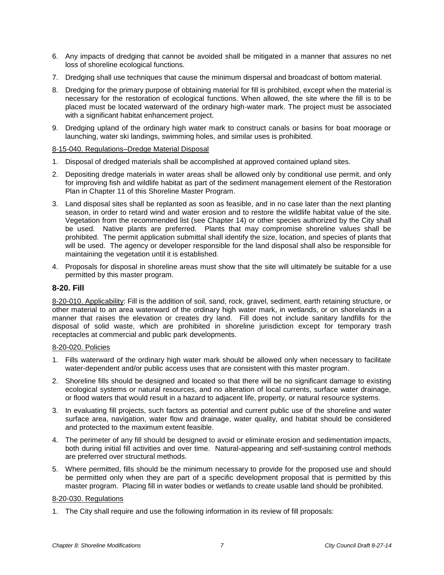- 6. Any impacts of dredging that cannot be avoided shall be mitigated in a manner that assures no net loss of shoreline ecological functions.
- 7. Dredging shall use techniques that cause the minimum dispersal and broadcast of bottom material.
- 8. Dredging for the primary purpose of obtaining material for fill is prohibited, except when the material is necessary for the restoration of ecological functions. When allowed, the site where the fill is to be placed must be located waterward of the ordinary high-water mark. The project must be associated with a significant habitat enhancement project.
- 9. Dredging upland of the ordinary high water mark to construct canals or basins for boat moorage or launching, water ski landings, swimming holes, and similar uses is prohibited.

## 8-15-040. Regulations–Dredge Material Disposal

- 1. Disposal of dredged materials shall be accomplished at approved contained upland sites.
- 2. Depositing dredge materials in water areas shall be allowed only by conditional use permit, and only for improving fish and wildlife habitat as part of the sediment management element of the Restoration Plan in Chapter 11 of this Shoreline Master Program.
- 3. Land disposal sites shall be replanted as soon as feasible, and in no case later than the next planting season, in order to retard wind and water erosion and to restore the wildlife habitat value of the site. Vegetation from the recommended list (see Chapter 14) or other species authorized by the City shall be used. Native plants are preferred. Plants that may compromise shoreline values shall be prohibited. The permit application submittal shall identify the size, location, and species of plants that will be used. The agency or developer responsible for the land disposal shall also be responsible for maintaining the vegetation until it is established.
- 4. Proposals for disposal in shoreline areas must show that the site will ultimately be suitable for a use permitted by this master program.

# **8-20. Fill**

8-20-010. Applicability: Fill is the addition of soil, sand, rock, gravel, sediment, earth retaining structure, or other material to an area waterward of the ordinary high water mark, in wetlands, or on shorelands in a manner that raises the elevation or creates dry land. Fill does not include sanitary landfills for the disposal of solid waste, which are prohibited in shoreline jurisdiction except for temporary trash receptacles at commercial and public park developments.

## 8-20-020. Policies

- 1. Fills waterward of the ordinary high water mark should be allowed only when necessary to facilitate water-dependent and/or public access uses that are consistent with this master program.
- 2. Shoreline fills should be designed and located so that there will be no significant damage to existing ecological systems or natural resources, and no alteration of local currents, surface water drainage, or flood waters that would result in a hazard to adjacent life, property, or natural resource systems.
- 3. In evaluating fill projects, such factors as potential and current public use of the shoreline and water surface area, navigation, water flow and drainage, water quality, and habitat should be considered and protected to the maximum extent feasible.
- 4. The perimeter of any fill should be designed to avoid or eliminate erosion and sedimentation impacts, both during initial fill activities and over time. Natural-appearing and self-sustaining control methods are preferred over structural methods.
- 5. Where permitted, fills should be the minimum necessary to provide for the proposed use and should be permitted only when they are part of a specific development proposal that is permitted by this master program. Placing fill in water bodies or wetlands to create usable land should be prohibited.

## 8-20-030. Regulations

1. The City shall require and use the following information in its review of fill proposals: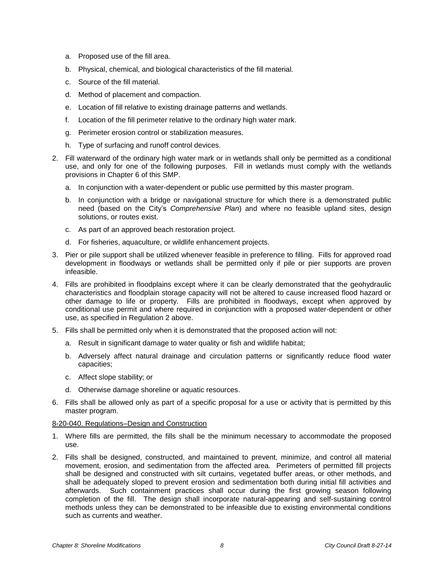- a. Proposed use of the fill area.
- b. Physical, chemical, and biological characteristics of the fill material.
- c. Source of the fill material.
- d. Method of placement and compaction.
- e. Location of fill relative to existing drainage patterns and wetlands.
- f. Location of the fill perimeter relative to the ordinary high water mark.
- g. Perimeter erosion control or stabilization measures.
- h. Type of surfacing and runoff control devices.
- 2. Fill waterward of the ordinary high water mark or in wetlands shall only be permitted as a conditional use, and only for one of the following purposes. Fill in wetlands must comply with the wetlands provisions in Chapter 6 of this SMP.
	- a. In conjunction with a water-dependent or public use permitted by this master program.
	- b. In conjunction with a bridge or navigational structure for which there is a demonstrated public need (based on the City's *Comprehensive Plan*) and where no feasible upland sites, design solutions, or routes exist.
	- c. As part of an approved beach restoration project.
	- d. For fisheries, aquaculture, or wildlife enhancement projects.
- 3. Pier or pile support shall be utilized whenever feasible in preference to filling. Fills for approved road development in floodways or wetlands shall be permitted only if pile or pier supports are proven infeasible.
- 4. Fills are prohibited in floodplains except where it can be clearly demonstrated that the geohydraulic characteristics and floodplain storage capacity will not be altered to cause increased flood hazard or other damage to life or property. Fills are prohibited in floodways, except when approved by conditional use permit and where required in conjunction with a proposed water-dependent or other use, as specified in Regulation 2 above.
- 5. Fills shall be permitted only when it is demonstrated that the proposed action will not:
	- a. Result in significant damage to water quality or fish and wildlife habitat;
	- b. Adversely affect natural drainage and circulation patterns or significantly reduce flood water capacities;
	- c. Affect slope stability; or
	- d. Otherwise damage shoreline or aquatic resources.
- 6. Fills shall be allowed only as part of a specific proposal for a use or activity that is permitted by this master program.

## 8-20-040. Regulations–Design and Construction

- 1. Where fills are permitted, the fills shall be the minimum necessary to accommodate the proposed use.
- 2. Fills shall be designed, constructed, and maintained to prevent, minimize, and control all material movement, erosion, and sedimentation from the affected area. Perimeters of permitted fill projects shall be designed and constructed with silt curtains, vegetated buffer areas, or other methods, and shall be adequately sloped to prevent erosion and sedimentation both during initial fill activities and afterwards. Such containment practices shall occur during the first growing season following completion of the fill. The design shall incorporate natural-appearing and self-sustaining control methods unless they can be demonstrated to be infeasible due to existing environmental conditions such as currents and weather.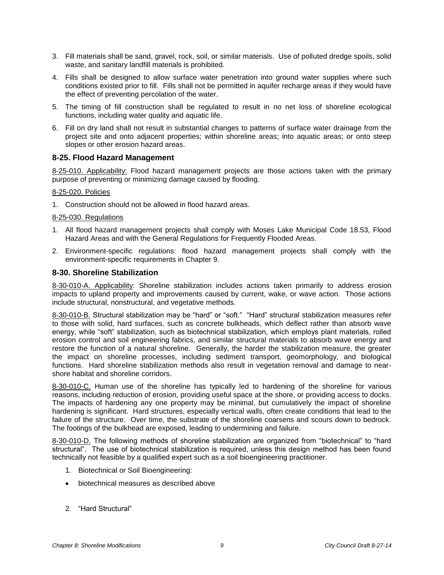- 3. Fill materials shall be sand, gravel, rock, soil, or similar materials. Use of polluted dredge spoils, solid waste, and sanitary landfill materials is prohibited.
- 4. Fills shall be designed to allow surface water penetration into ground water supplies where such conditions existed prior to fill. Fills shall not be permitted in aquifer recharge areas if they would have the effect of preventing percolation of the water.
- 5. The timing of fill construction shall be regulated to result in no net loss of shoreline ecological functions, including water quality and aquatic life.
- 6. Fill on dry land shall not result in substantial changes to patterns of surface water drainage from the project site and onto adjacent properties; within shoreline areas; into aquatic areas; or onto steep slopes or other erosion hazard areas.

# **8-25. Flood Hazard Management**

8-25-010. Applicability: Flood hazard management projects are those actions taken with the primary purpose of preventing or minimizing damage caused by flooding.

## 8-25-020. Policies

1. Construction should not be allowed in flood hazard areas.

# 8-25-030. Regulations

- 1. All flood hazard management projects shall comply with Moses Lake Municipal Code 18.53, Flood Hazard Areas and with the General Regulations for Frequently Flooded Areas.
- 2. Environment-specific regulations: flood hazard management projects shall comply with the environment-specific requirements in Chapter 9.

# **8-30. Shoreline Stabilization**

8-30-010-A. Applicability: Shoreline stabilization includes actions taken primarily to address erosion impacts to upland property and improvements caused by current, wake, or wave action. Those actions include structural, nonstructural, and vegetative methods.

8-30-010-B. Structural stabilization may be "hard" or "soft." "Hard" structural stabilization measures refer to those with solid, hard surfaces, such as concrete bulkheads, which deflect rather than absorb wave energy, while "soft" stabilization, such as biotechnical stabilization, which employs plant materials, rolled erosion control and soil engineering fabrics, and similar structural materials to absorb wave energy and restore the function of a natural shoreline. Generally, the harder the stabilization measure, the greater the impact on shoreline processes, including sediment transport, geomorphology, and biological functions. Hard shoreline stabilization methods also result in vegetation removal and damage to nearshore habitat and shoreline corridors.

8-30-010-C. Human use of the shoreline has typically led to hardening of the shoreline for various reasons, including reduction of erosion, providing useful space at the shore, or providing access to docks. The impacts of hardening any one property may be minimal, but cumulatively the impact of shoreline hardening is significant. Hard structures, especially vertical walls, often create conditions that lead to the failure of the structure. Over time, the substrate of the shoreline coarsens and scours down to bedrock. The footings of the bulkhead are exposed, leading to undermining and failure.

8-30-010-D. The following methods of shoreline stabilization are organized from "biotechnical" to "hard structural". The use of biotechnical stabilization is required, unless this design method has been found technically not feasible by a qualified expert such as a soil bioengineering practitioner.

- 1. Biotechnical or Soil Bioengineering:
- biotechnical measures as described above
- 2. "Hard Structural"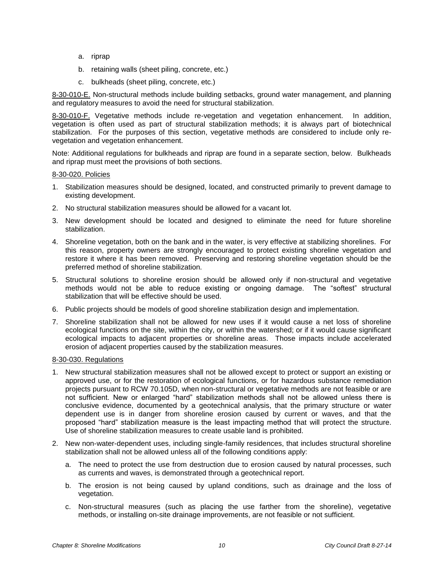- a. riprap
- b. retaining walls (sheet piling, concrete, etc.)
- c. bulkheads (sheet piling, concrete, etc.)

8-30-010-E. Non-structural methods include building setbacks, ground water management, and planning and regulatory measures to avoid the need for structural stabilization.

8-30-010-F. Vegetative methods include re-vegetation and vegetation enhancement. In addition, vegetation is often used as part of structural stabilization methods; it is always part of biotechnical stabilization. For the purposes of this section, vegetative methods are considered to include only revegetation and vegetation enhancement.

Note: Additional regulations for bulkheads and riprap are found in a separate section, below. Bulkheads and riprap must meet the provisions of both sections.

#### 8-30-020. Policies

- 1. Stabilization measures should be designed, located, and constructed primarily to prevent damage to existing development.
- 2. No structural stabilization measures should be allowed for a vacant lot.
- 3. New development should be located and designed to eliminate the need for future shoreline stabilization.
- 4. Shoreline vegetation, both on the bank and in the water, is very effective at stabilizing shorelines. For this reason, property owners are strongly encouraged to protect existing shoreline vegetation and restore it where it has been removed. Preserving and restoring shoreline vegetation should be the preferred method of shoreline stabilization.
- 5. Structural solutions to shoreline erosion should be allowed only if non-structural and vegetative methods would not be able to reduce existing or ongoing damage. The "softest" structural stabilization that will be effective should be used.
- 6. Public projects should be models of good shoreline stabilization design and implementation.
- 7. Shoreline stabilization shall not be allowed for new uses if it would cause a net loss of shoreline ecological functions on the site, within the city, or within the watershed; or if it would cause significant ecological impacts to adjacent properties or shoreline areas. Those impacts include accelerated erosion of adjacent properties caused by the stabilization measures.

#### 8-30-030. Regulations

- 1. New structural stabilization measures shall not be allowed except to protect or support an existing or approved use, or for the restoration of ecological functions, or for hazardous substance remediation projects pursuant to RCW 70.105D, when non-structural or vegetative methods are not feasible or are not sufficient. New or enlarged "hard" stabilization methods shall not be allowed unless there is conclusive evidence, documented by a geotechnical analysis, that the primary structure or water dependent use is in danger from shoreline erosion caused by current or waves, and that the proposed "hard" stabilization measure is the least impacting method that will protect the structure. Use of shoreline stabilization measures to create usable land is prohibited.
- 2. New non-water-dependent uses, including single-family residences, that includes structural shoreline stabilization shall not be allowed unless all of the following conditions apply:
	- a. The need to protect the use from destruction due to erosion caused by natural processes, such as currents and waves, is demonstrated through a geotechnical report.
	- b. The erosion is not being caused by upland conditions, such as drainage and the loss of vegetation.
	- c. Non-structural measures (such as placing the use farther from the shoreline), vegetative methods, or installing on-site drainage improvements, are not feasible or not sufficient.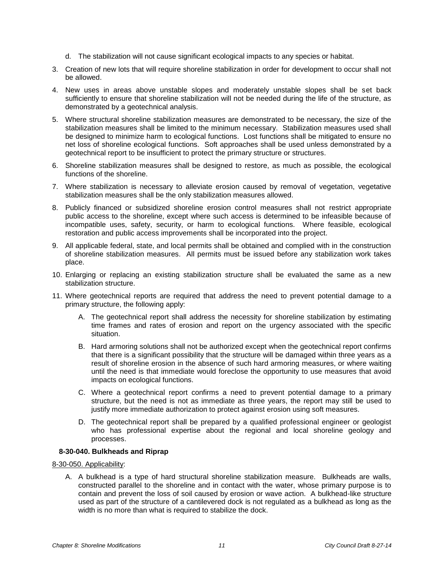- d. The stabilization will not cause significant ecological impacts to any species or habitat.
- 3. Creation of new lots that will require shoreline stabilization in order for development to occur shall not be allowed.
- 4. New uses in areas above unstable slopes and moderately unstable slopes shall be set back sufficiently to ensure that shoreline stabilization will not be needed during the life of the structure, as demonstrated by a geotechnical analysis.
- 5. Where structural shoreline stabilization measures are demonstrated to be necessary, the size of the stabilization measures shall be limited to the minimum necessary. Stabilization measures used shall be designed to minimize harm to ecological functions. Lost functions shall be mitigated to ensure no net loss of shoreline ecological functions. Soft approaches shall be used unless demonstrated by a geotechnical report to be insufficient to protect the primary structure or structures.
- 6. Shoreline stabilization measures shall be designed to restore, as much as possible, the ecological functions of the shoreline.
- 7. Where stabilization is necessary to alleviate erosion caused by removal of vegetation, vegetative stabilization measures shall be the only stabilization measures allowed.
- 8. Publicly financed or subsidized shoreline erosion control measures shall not restrict appropriate public access to the shoreline, except where such access is determined to be infeasible because of incompatible uses, safety, security, or harm to ecological functions. Where feasible, ecological restoration and public access improvements shall be incorporated into the project.
- 9. All applicable federal, state, and local permits shall be obtained and complied with in the construction of shoreline stabilization measures. All permits must be issued before any stabilization work takes place.
- 10. Enlarging or replacing an existing stabilization structure shall be evaluated the same as a new stabilization structure.
- 11. Where geotechnical reports are required that address the need to prevent potential damage to a primary structure, the following apply:
	- A. The geotechnical report shall address the necessity for shoreline stabilization by estimating time frames and rates of erosion and report on the urgency associated with the specific situation.
	- B. Hard armoring solutions shall not be authorized except when the geotechnical report confirms that there is a significant possibility that the structure will be damaged within three years as a result of shoreline erosion in the absence of such hard armoring measures, or where waiting until the need is that immediate would foreclose the opportunity to use measures that avoid impacts on ecological functions.
	- C. Where a geotechnical report confirms a need to prevent potential damage to a primary structure, but the need is not as immediate as three years, the report may still be used to justify more immediate authorization to protect against erosion using soft measures.
	- D. The geotechnical report shall be prepared by a qualified professional engineer or geologist who has professional expertise about the regional and local shoreline geology and processes.

## **8-30-040. Bulkheads and Riprap**

8-30-050. Applicability:

A. A bulkhead is a type of hard structural shoreline stabilization measure. Bulkheads are walls, constructed parallel to the shoreline and in contact with the water, whose primary purpose is to contain and prevent the loss of soil caused by erosion or wave action. A bulkhead-like structure used as part of the structure of a cantilevered dock is not regulated as a bulkhead as long as the width is no more than what is required to stabilize the dock.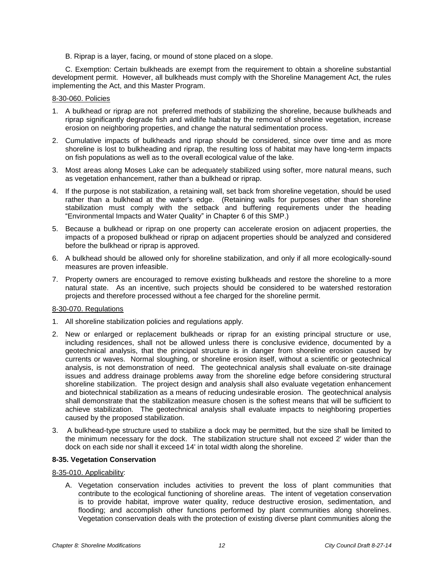B. Riprap is a layer, facing, or mound of stone placed on a slope.

C. Exemption: Certain bulkheads are exempt from the requirement to obtain a shoreline substantial development permit. However, all bulkheads must comply with the Shoreline Management Act, the rules implementing the Act, and this Master Program.

#### 8-30-060. Policies

- 1. A bulkhead or riprap are not preferred methods of stabilizing the shoreline, because bulkheads and riprap significantly degrade fish and wildlife habitat by the removal of shoreline vegetation, increase erosion on neighboring properties, and change the natural sedimentation process.
- 2. Cumulative impacts of bulkheads and riprap should be considered, since over time and as more shoreline is lost to bulkheading and riprap, the resulting loss of habitat may have long-term impacts on fish populations as well as to the overall ecological value of the lake.
- 3. Most areas along Moses Lake can be adequately stabilized using softer, more natural means, such as vegetation enhancement, rather than a bulkhead or riprap.
- 4. If the purpose is not stabilization, a retaining wall, set back from shoreline vegetation, should be used rather than a bulkhead at the water's edge. (Retaining walls for purposes other than shoreline stabilization must comply with the setback and buffering requirements under the heading "Environmental Impacts and Water Quality" in Chapter 6 of this SMP.)
- 5. Because a bulkhead or riprap on one property can accelerate erosion on adjacent properties, the impacts of a proposed bulkhead or riprap on adjacent properties should be analyzed and considered before the bulkhead or riprap is approved.
- 6. A bulkhead should be allowed only for shoreline stabilization, and only if all more ecologically-sound measures are proven infeasible.
- 7. Property owners are encouraged to remove existing bulkheads and restore the shoreline to a more natural state. As an incentive, such projects should be considered to be watershed restoration projects and therefore processed without a fee charged for the shoreline permit.

## 8-30-070. Regulations

- 1. All shoreline stabilization policies and regulations apply.
- 2. New or enlarged or replacement bulkheads or riprap for an existing principal structure or use, including residences, shall not be allowed unless there is conclusive evidence, documented by a geotechnical analysis, that the principal structure is in danger from shoreline erosion caused by currents or waves. Normal sloughing, or shoreline erosion itself, without a scientific or geotechnical analysis, is not demonstration of need. The geotechnical analysis shall evaluate on-site drainage issues and address drainage problems away from the shoreline edge before considering structural shoreline stabilization. The project design and analysis shall also evaluate vegetation enhancement and biotechnical stabilization as a means of reducing undesirable erosion. The geotechnical analysis shall demonstrate that the stabilization measure chosen is the softest means that will be sufficient to achieve stabilization. The geotechnical analysis shall evaluate impacts to neighboring properties caused by the proposed stabilization.
- 3. A bulkhead-type structure used to stabilize a dock may be permitted, but the size shall be limited to the minimum necessary for the dock. The stabilization structure shall not exceed 2' wider than the dock on each side nor shall it exceed 14' in total width along the shoreline.

## **8-35. Vegetation Conservation**

#### 8-35-010. Applicability:

A. Vegetation conservation includes activities to prevent the loss of plant communities that contribute to the ecological functioning of shoreline areas. The intent of vegetation conservation is to provide habitat, improve water quality, reduce destructive erosion, sedimentation, and flooding; and accomplish other functions performed by plant communities along shorelines. Vegetation conservation deals with the protection of existing diverse plant communities along the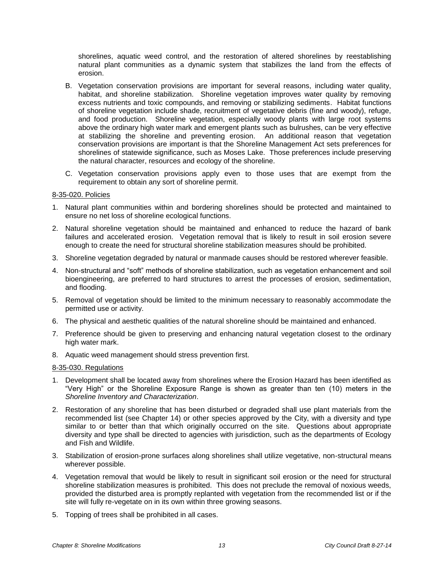shorelines, aquatic weed control, and the restoration of altered shorelines by reestablishing natural plant communities as a dynamic system that stabilizes the land from the effects of erosion.

- B. Vegetation conservation provisions are important for several reasons, including water quality, habitat, and shoreline stabilization. Shoreline vegetation improves water quality by removing excess nutrients and toxic compounds, and removing or stabilizing sediments. Habitat functions of shoreline vegetation include shade, recruitment of vegetative debris (fine and woody), refuge, and food production. Shoreline vegetation, especially woody plants with large root systems above the ordinary high water mark and emergent plants such as bulrushes, can be very effective at stabilizing the shoreline and preventing erosion. An additional reason that vegetation conservation provisions are important is that the Shoreline Management Act sets preferences for shorelines of statewide significance, such as Moses Lake. Those preferences include preserving the natural character, resources and ecology of the shoreline.
- C. Vegetation conservation provisions apply even to those uses that are exempt from the requirement to obtain any sort of shoreline permit.

#### 8-35-020. Policies

- 1. Natural plant communities within and bordering shorelines should be protected and maintained to ensure no net loss of shoreline ecological functions.
- 2. Natural shoreline vegetation should be maintained and enhanced to reduce the hazard of bank failures and accelerated erosion. Vegetation removal that is likely to result in soil erosion severe enough to create the need for structural shoreline stabilization measures should be prohibited.
- 3. Shoreline vegetation degraded by natural or manmade causes should be restored wherever feasible.
- 4. Non-structural and "soft" methods of shoreline stabilization, such as vegetation enhancement and soil bioengineering, are preferred to hard structures to arrest the processes of erosion, sedimentation, and flooding.
- 5. Removal of vegetation should be limited to the minimum necessary to reasonably accommodate the permitted use or activity.
- 6. The physical and aesthetic qualities of the natural shoreline should be maintained and enhanced.
- 7. Preference should be given to preserving and enhancing natural vegetation closest to the ordinary high water mark.
- 8. Aquatic weed management should stress prevention first.

#### 8-35-030. Regulations

- 1. Development shall be located away from shorelines where the Erosion Hazard has been identified as "Very High" or the Shoreline Exposure Range is shown as greater than ten (10) meters in the *Shoreline Inventory and Characterization*.
- 2. Restoration of any shoreline that has been disturbed or degraded shall use plant materials from the recommended list (see Chapter 14) or other species approved by the City, with a diversity and type similar to or better than that which originally occurred on the site. Questions about appropriate diversity and type shall be directed to agencies with jurisdiction, such as the departments of Ecology and Fish and Wildlife.
- 3. Stabilization of erosion-prone surfaces along shorelines shall utilize vegetative, non-structural means wherever possible.
- 4. Vegetation removal that would be likely to result in significant soil erosion or the need for structural shoreline stabilization measures is prohibited. This does not preclude the removal of noxious weeds, provided the disturbed area is promptly replanted with vegetation from the recommended list or if the site will fully re-vegetate on in its own within three growing seasons.
- 5. Topping of trees shall be prohibited in all cases.